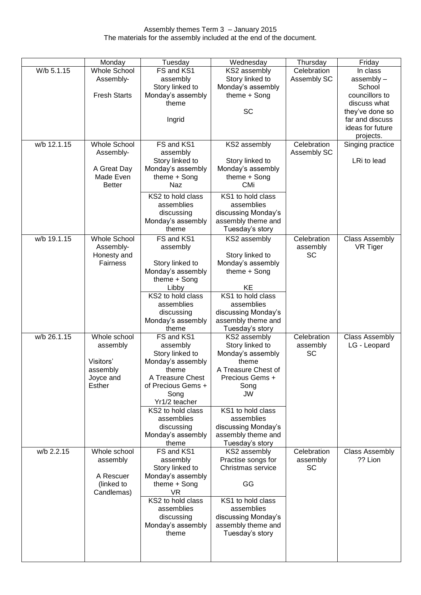|             | Monday              | Tuesday            | Wednesday           | Thursday    | Friday                |
|-------------|---------------------|--------------------|---------------------|-------------|-----------------------|
| W/b 5.1.15  | <b>Whole School</b> | FS and KS1         | KS2 assembly        | Celebration | In class              |
|             | Assembly-           |                    | Story linked to     | Assembly SC |                       |
|             |                     | assembly           |                     |             | assembly -            |
|             |                     | Story linked to    | Monday's assembly   |             | School                |
|             | <b>Fresh Starts</b> | Monday's assembly  | theme + Song        |             | councillors to        |
|             |                     | theme              |                     |             | discuss what          |
|             |                     |                    | <b>SC</b>           |             | they've done so       |
|             |                     | Ingrid             |                     |             | far and discuss       |
|             |                     |                    |                     |             | ideas for future      |
|             |                     |                    |                     |             | projects.             |
| w/b 12.1.15 | <b>Whole School</b> | FS and KS1         | KS2 assembly        | Celebration | Singing practice      |
|             | Assembly-           | assembly           |                     | Assembly SC |                       |
|             |                     | Story linked to    | Story linked to     |             | LRi to lead           |
|             | A Great Day         | Monday's assembly  | Monday's assembly   |             |                       |
|             | Made Even           | theme + Song       | theme + Song        |             |                       |
|             | <b>Better</b>       | Naz                | <b>CMi</b>          |             |                       |
|             |                     | KS2 to hold class  | KS1 to hold class   |             |                       |
|             |                     | assemblies         | assemblies          |             |                       |
|             |                     | discussing         | discussing Monday's |             |                       |
|             |                     | Monday's assembly  | assembly theme and  |             |                       |
|             |                     | theme              | Tuesday's story     |             |                       |
| w/b 19.1.15 | <b>Whole School</b> | FS and KS1         | KS2 assembly        | Celebration | <b>Class Assembly</b> |
|             | Assembly-           | assembly           |                     | assembly    | VR Tiger              |
|             | Honesty and         |                    | Story linked to     | SC          |                       |
|             | <b>Fairness</b>     | Story linked to    | Monday's assembly   |             |                       |
|             |                     | Monday's assembly  | theme + Song        |             |                       |
|             |                     | theme + Song       |                     |             |                       |
|             |                     | Libby              | KE                  |             |                       |
|             |                     | KS2 to hold class  | KS1 to hold class   |             |                       |
|             |                     | assemblies         | assemblies          |             |                       |
|             |                     | discussing         | discussing Monday's |             |                       |
|             |                     | Monday's assembly  | assembly theme and  |             |                       |
|             |                     | theme              | Tuesday's story     |             |                       |
| w/b 26.1.15 | Whole school        | FS and KS1         | KS2 assembly        | Celebration | <b>Class Assembly</b> |
|             | assembly            | assembly           | Story linked to     | assembly    | LG - Leopard          |
|             |                     | Story linked to    | Monday's assembly   | SC          |                       |
|             | Visitors'           | Monday's assembly  | theme               |             |                       |
|             | assembly            | theme              | A Treasure Chest of |             |                       |
|             | Joyce and           | A Treasure Chest   | Precious Gems +     |             |                       |
|             | Esther              | of Precious Gems + | Song                |             |                       |
|             |                     | Song               | JW                  |             |                       |
|             |                     | Yr1/2 teacher      |                     |             |                       |
|             |                     | KS2 to hold class  | KS1 to hold class   |             |                       |
|             |                     | assemblies         | assemblies          |             |                       |
|             |                     | discussing         | discussing Monday's |             |                       |
|             |                     | Monday's assembly  | assembly theme and  |             |                       |
|             |                     | theme              | Tuesday's story     |             |                       |
| w/b 2.2.15  | Whole school        | FS and KS1         | KS2 assembly        | Celebration | <b>Class Assembly</b> |
|             | assembly            | assembly           | Practise songs for  | assembly    | ?? Lion               |
|             |                     | Story linked to    | Christmas service   | SC          |                       |
|             | A Rescuer           | Monday's assembly  |                     |             |                       |
|             | (linked to          | theme $+$ Song     | GG                  |             |                       |
|             | Candlemas)          | VR.                |                     |             |                       |
|             |                     | KS2 to hold class  | KS1 to hold class   |             |                       |
|             |                     | assemblies         | assemblies          |             |                       |
|             |                     | discussing         | discussing Monday's |             |                       |
|             |                     | Monday's assembly  | assembly theme and  |             |                       |
|             |                     | theme              | Tuesday's story     |             |                       |
|             |                     |                    |                     |             |                       |
|             |                     |                    |                     |             |                       |
|             |                     |                    |                     |             |                       |